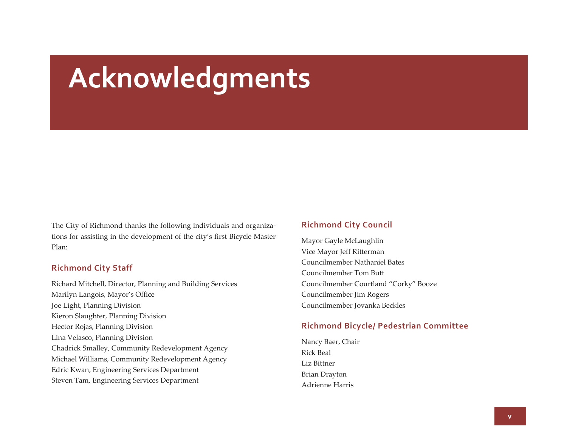# **Acknowledgments**

The City of Richmond thanks the following individuals and organiza‐ tions for assisting in the development of the city's first Bicycle Master Plan:

#### **Richmond City Staff**

Richard Mitchell, Director, Planning and Building Services Marilyn Langois, Mayor's Office Joe Light, Planning Division Kieron Slaughter, Planning Division Hector Rojas, Planning Division Lina Velasco, Planning Division Chadrick Smalley, Community Redevelopment Agency Michael Williams, Community Redevelopment Agency Edric Kwan, Engineering Services Department Steven Tam, Engineering Services Department

#### **Richmond City Council**

Mayor Gayle McLaughlin Vice Mayor Jeff Ritterman Councilmember Nathaniel BatesCouncilmember Tom Butt Councilmember Courtland "Corky" Booze Councilmember Jim Rogers Councilmember Jovanka Beckles

#### **Richmond Bicycle/ Pedestrian Committee**

Nancy Baer, Chair Rick Beal Liz Bittner Brian Drayton Adrienne Harris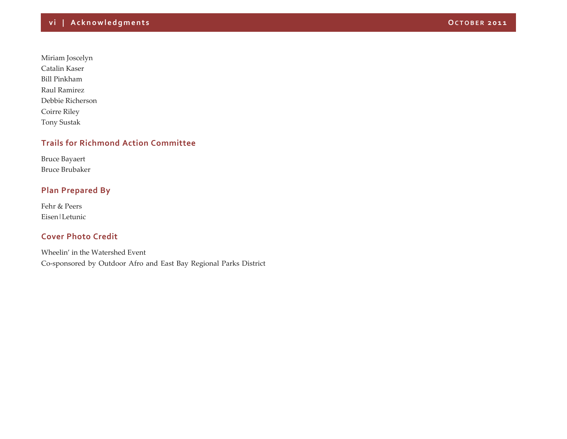Miriam Joscelyn Catalin Kaser Bill PinkhamRaul Ramirez Debbie Richerson Coirre Riley Tony Sustak

### **Trails for Richmond Action Committee**

Bruce Bayaert Bruce Brubaker

# **Plan Prepared By**

Fehr & Peers Eisen|Letunic

# **Cover Photo Credit**

Wheelin' in the Watershed Event Co‐sponsored by Outdoor Afro and East Bay Regional Parks District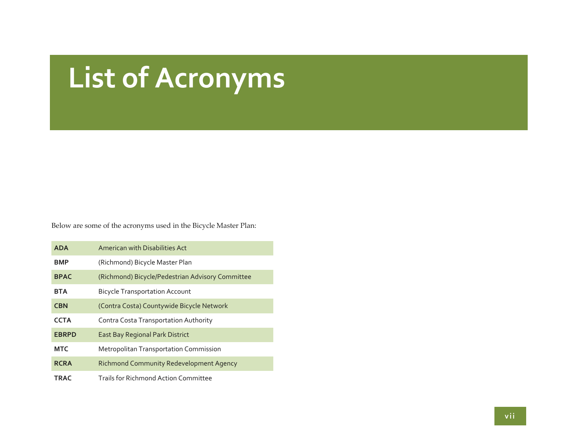# **List of Acronyms**

Below are some of the acronyms used in the Bicycle Master Plan:

| <b>ADA</b>   | American with Disabilities Act                   |
|--------------|--------------------------------------------------|
| <b>BMP</b>   | (Richmond) Bicycle Master Plan                   |
| <b>BPAC</b>  | (Richmond) Bicycle/Pedestrian Advisory Committee |
| <b>BTA</b>   | <b>Bicycle Transportation Account</b>            |
| <b>CBN</b>   | (Contra Costa) Countywide Bicycle Network        |
| <b>CCTA</b>  | Contra Costa Transportation Authority            |
| <b>EBRPD</b> | <b>East Bay Regional Park District</b>           |
| <b>MTC</b>   | Metropolitan Transportation Commission           |
| <b>RCRA</b>  | <b>Richmond Community Redevelopment Agency</b>   |
| <b>TRAC</b>  | <b>Trails for Richmond Action Committee</b>      |